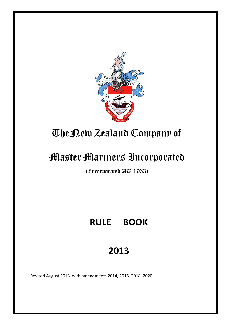

# TheNew Zealand Company of

# **Master Mariners Incorporated**

(Incorporated AD 1933)

# **RULE BOOK**

# **2013**

Revised August 2013, with amendments 2014, 2015, 2018, 2020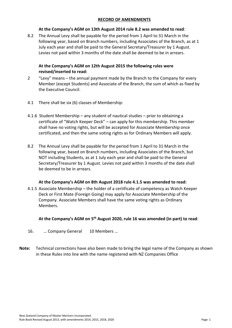#### **RECORD OF AMENDMENTS**

#### **At the Company's AGM on 13th August 2014 rule 8.2 was amended to read**:

8.2 The Annual Levy shall be payable for the period from 1 April to 31 March in the following year, based on Branch numbers, including Associates of the Branch, as at 1 July each year and shall be paid to the General Secretary/Treasurer by 1 August. Levies not paid within 3 months of the date shall be deemed to be in arrears.

#### **At the Company's AGM on 12th August 2015 the following rules were revised/inserted to read:**

- 2 "Levy" means the annual payment made by the Branch to the Company for every Member (except Students) and Associate of the Branch, the sum of which as fixed by the Executive Council.
- 4.1 There shall be six (6) classes of Membership:
- 4.1.6 Student Membership any student of nautical studies prior to obtaining a certificate of "Watch Keeper Deck" – can apply for this membership. This member shall have no voting rights, but will be accepted for Associate Membership once certificated, and then the same voting rights as for Ordinary Members will apply.
- 8.2 The Annual Levy shall be payable for the period from 1 April to 31 March in the following year, based on Branch numbers, including Associates of the Branch, but NOT including Students, as at 1 July each year and shall be paid to the General Secretary/Treasurer by 1 August. Levies not paid within 3 months of the date shall be deemed to be in arrears.

#### **At the Company's AGM on 8th August 2018 rule 4.1.5 was amended to read:**

4.1.5 Associate Membership – the holder of a certificate of competency as Watch Keeper Deck or First Mate (Foreign Going) may apply for Associate Membership of the Company. Associate Members shall have the same voting rights as Ordinary Members.

#### **At the Company's AGM on 5 th August 2020, rule 16 was amended (in part) to read**:

- 16. … Company General 10 Members …
- **Note:** Technical corrections have also been made to bring the legal name of the Company as shown in these Rules into line with the name registered with NZ Companies Office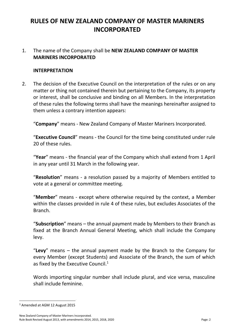# **RULES OF NEW ZEALAND COMPANY OF MASTER MARINERS INCORPORATED**

#### 1. The name of the Company shall be **NEW ZEALAND COMPANY OF MASTER MARINERS INCORPORATED**

#### **INTERPRETATION**

2. The decision of the Executive Council on the interpretation of the rules or on any matter or thing not contained therein but pertaining to the Company, its property or interest, shall be conclusive and binding on all Members. In the interpretation of these rules the following terms shall have the meanings hereinafter assigned to them unless a contrary intention appears:

"**Company**" means - New Zealand Company of Master Mariners Incorporated.

"**Executive Council**" means - the Council for the time being constituted under rule 20 of these rules.

"**Year**" means - the financial year of the Company which shall extend from 1 April in any year until 31 March in the following year.

"**Resolution**" means - a resolution passed by a majority of Members entitled to vote at a general or committee meeting.

"**Member**" means - except where otherwise required by the context, a Member within the classes provided in rule 4 of these rules, but excludes Associates of the Branch.

"**Subscription**" means – the annual payment made by Members to their Branch as fixed at the Branch Annual General Meeting, which shall include the Company levy.

"**Levy**" means – the annual payment made by the Branch to the Company for every Member (except Students) and Associate of the Branch, the sum of which as fixed by the Executive Council. $1$ 

Words importing singular number shall include plural, and vice versa, masculine shall include feminine.

<sup>1</sup> Amended at AGM 12 August 2015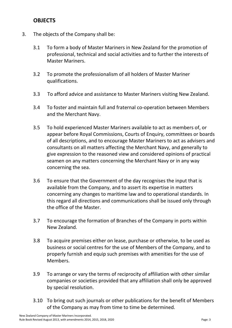## **OBJECTS**

- 3. The objects of the Company shall be:
	- 3.1 To form a body of Master Mariners in New Zealand for the promotion of professional, technical and social activities and to further the interests of Master Mariners.
	- 3.2 To promote the professionalism of all holders of Master Mariner qualifications.
	- 3.3 To afford advice and assistance to Master Mariners visiting New Zealand.
	- 3.4 To foster and maintain full and fraternal co-operation between Members and the Merchant Navy.
	- 3.5 To hold experienced Master Mariners available to act as members of, or appear before Royal Commissions, Courts of Enquiry, committees or boards of all descriptions, and to encourage Master Mariners to act as advisers and consultants on all matters affecting the Merchant Navy, and generally to give expression to the reasoned view and considered opinions of practical seamen on any matters concerning the Merchant Navy or in any way concerning the sea.
	- 3.6 To ensure that the Government of the day recognises the input that is available from the Company, and to assert its expertise in matters concerning any changes to maritime law and to operational standards. In this regard all directions and communications shall be issued only through the office of the Master.
	- 3.7 To encourage the formation of Branches of the Company in ports within New Zealand.
	- 3.8 To acquire premises either on lease, purchase or otherwise, to be used as business or social centres for the use of Members of the Company, and to properly furnish and equip such premises with amenities for the use of Members.
	- 3.9 To arrange or vary the terms of reciprocity of affiliation with other similar companies or societies provided that any affiliation shall only be approved by special resolution.
	- 3.10 To bring out such journals or other publications for the benefit of Members of the Company as may from time to time be determined.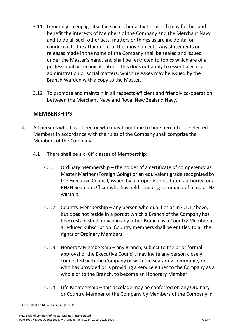- 3.11 Generally to engage itself in such other activities which may further and benefit the interests of Members of the Company and the Merchant Navy and to do all such other acts, matters or things as are incidental or conducive to the attainment of the above objects. Any statements or releases made in the name of the Company shall be sealed and issued under the Master's hand, and shall be restricted to topics which are of a professional or technical nature. This does not apply to essentially local administration or social matters, which releases may be issued by the Branch Warden with a copy to the Master.
- 3.12 To promote and maintain in all respects efficient and friendly co-operation between the Merchant Navy and Royal New Zealand Navy.

#### **MEMBERSHIPS**

- 4. All persons who have been or who may from time to time hereafter be elected Members in accordance with the rules of the Company shall comprise the Members of the Company.
	- 4.1 There shall be six  $(6)^2$  classes of Membership:
		- 4.1.1 Ordinary Membership the holder of a certificate of competency as Master Mariner (Foreign Going) or an equivalent grade recognised by the Executive Council, issued by a properly constituted authority, or a RNZN Seaman Officer who has held seagoing command of a major NZ warship.
		- 4.1.2 Country Membership any person who qualifies as in 4.1.1 above, but does not reside in a port at which a Branch of the Company has been established, may join any other Branch as a Country Member at a reduced subscription. Country members shall be entitled to all the rights of Ordinary Members.
		- 4.1.3 Honorary Membership any Branch, subject to the prior formal approval of the Executive Council, may invite any person closely connected with the Company or with the seafaring community or who has provided or is providing a service either to the Company as a whole or to the Branch, to become an Honorary Member.
		- 4.1.4 Life Membership this accolade may be conferred on any Ordinary or Country Member of the Company by Members of the Company in

<sup>2</sup> Amended at AGM 12 August 2015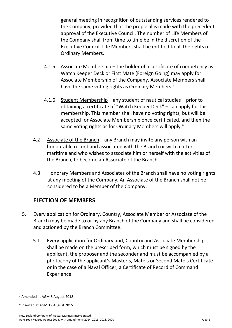general meeting in recognition of outstanding services rendered to the Company, provided that the proposal is made with the precedent approval of the Executive Council. The number of Life Members of the Company shall from time to time be in the discretion of the Executive Council. Life Members shall be entitled to all the rights of Ordinary Members.

- 4.1.5 Associate Membership the holder of a certificate of competency as Watch Keeper Deck or First Mate (Foreign Going) may apply for Associate Membership of the Company. Associate Members shall have the same voting rights as Ordinary Members.<sup>3</sup>
- 4.1.6 Student Membership any student of nautical studies prior to obtaining a certificate of "Watch Keeper Deck" – can apply for this membership. This member shall have no voting rights, but will be accepted for Associate Membership once certificated, and then the same voting rights as for Ordinary Members will apply.<sup>4</sup>
- 4.2 Associate of the Branch any Branch may invite any person with an honourable record and associated with the Branch or with matters maritime and who wishes to associate him or herself with the activities of the Branch, to become an Associate of the Branch.
- 4.3 Honorary Members and Associates of the Branch shall have no voting rights at any meeting of the Company. An Associate of the Branch shall not be considered to be a Member of the Company.

# **ELECTION OF MEMBERS**

- 5. Every application for Ordinary, Country, Associate Member or Associate of the Branch may be made to or by any Branch of the Company and shall be considered and actioned by the Branch Committee.
	- 5.1 Every application for Ordinary and, Country and Associate Membership shall be made on the prescribed form, which must be signed by the applicant, the proposer and the seconder and must be accompanied by a photocopy of the applicant's Master's, Mate's or Second Mate's Certificate or in the case of a Naval Officer, a Certificate of Record of Command Experience.

<sup>&</sup>lt;sup>3</sup> Amended at AGM 8 August 2018

<sup>4</sup> Inserted at AGM 12 August 2015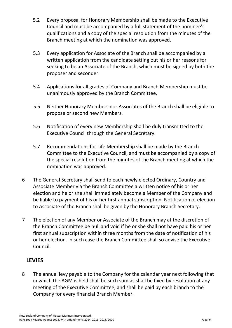- 5.2 Every proposal for Honorary Membership shall be made to the Executive Council and must be accompanied by a full statement of the nominee's qualifications and a copy of the special resolution from the minutes of the Branch meeting at which the nomination was approved.
- 5.3 Every application for Associate of the Branch shall be accompanied by a written application from the candidate setting out his or her reasons for seeking to be an Associate of the Branch, which must be signed by both the proposer and seconder.
- 5.4 Applications for all grades of Company and Branch Membership must be unanimously approved by the Branch Committee.
- 5.5 Neither Honorary Members nor Associates of the Branch shall be eligible to propose or second new Members.
- 5.6 Notification of every new Membership shall be duly transmitted to the Executive Council through the General Secretary.
- 5.7 Recommendations for Life Membership shall be made by the Branch Committee to the Executive Council, and must be accompanied by a copy of the special resolution from the minutes of the Branch meeting at which the nomination was approved.
- 6 The General Secretary shall send to each newly elected Ordinary, Country and Associate Member via the Branch Committee a written notice of his or her election and he or she shall immediately become a Member of the Company and be liable to payment of his or her first annual subscription. Notification of election to Associate of the Branch shall be given by the Honorary Branch Secretary.
- 7 The election of any Member or Associate of the Branch may at the discretion of the Branch Committee be null and void if he or she shall not have paid his or her first annual subscription within three months from the date of notification of his or her election. In such case the Branch Committee shall so advise the Executive Council.

#### **LEVIES**

8 The annual levy payable to the Company for the calendar year next following that in which the AGM is held shall be such sum as shall be fixed by resolution at any meeting of the Executive Committee, and shall be paid by each branch to the Company for every financial Branch Member.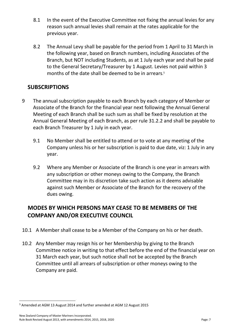- 8.1 In the event of the Executive Committee not fixing the annual levies for any reason such annual levies shall remain at the rates applicable for the previous year.
- 8.2 The Annual Levy shall be payable for the period from 1 April to 31 March in the following year, based on Branch numbers, including Associates of the Branch, but NOT including Students, as at 1 July each year and shall be paid to the General Secretary/Treasurer by 1 August. Levies not paid within 3 months of the date shall be deemed to be in arrears. 5

# **SUBSCRIPTIONS**

- 9 The annual subscription payable to each Branch by each category of Member or Associate of the Branch for the financial year next following the Annual General Meeting of each Branch shall be such sum as shall be fixed by resolution at the Annual General Meeting of each Branch, as per rule 31.2.2 and shall be payable to each Branch Treasurer by 1 July in each year.
	- 9.1 No Member shall be entitled to attend or to vote at any meeting of the Company unless his or her subscription is paid to due date, viz: 1 July in any year.
	- 9.2 Where any Member or Associate of the Branch is one year in arrears with any subscription or other moneys owing to the Company, the Branch Committee may in its discretion take such action as it deems advisable against such Member or Associate of the Branch for the recovery of the dues owing.

# **MODES BY WHICH PERSONS MAY CEASE TO BE MEMBERS OF THE COMPANY AND/OR EXECUTIVE COUNCIL**

- 10.1 A Member shall cease to be a Member of the Company on his or her death.
- 10.2 Any Member may resign his or her Membership by giving to the Branch Committee notice in writing to that effect before the end of the financial year on 31 March each year, but such notice shall not be accepted by the Branch Committee until all arrears of subscription or other moneys owing to the Company are paid.

<sup>&</sup>lt;sup>5</sup> Amended at AGM 13 August 2014 and further amended at AGM 12 August 2015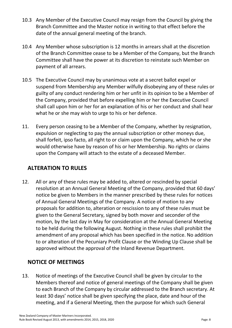- 10.3 Any Member of the Executive Council may resign from the Council by giving the Branch Committee and the Master notice in writing to that effect before the date of the annual general meeting of the branch.
- 10.4 Any Member whose subscription is 12 months in arrears shall at the discretion of the Branch Committee cease to be a Member of the Company, but the Branch Committee shall have the power at its discretion to reinstate such Member on payment of all arrears.
- 10.5 The Executive Council may by unanimous vote at a secret ballot expel or suspend from Membership any Member wilfully disobeying any of these rules or guilty of any conduct rendering him or her unfit in its opinion to be a Member of the Company, provided that before expelling him or her the Executive Council shall call upon him or her for an explanation of his or her conduct and shall hear what he or she may wish to urge to his or her defence.
- 11. Every person ceasing to be a Member of the Company, whether by resignation, expulsion or neglecting to pay the annual subscription or other moneys due, shall forfeit, ipso facto, all right to or claim upon the Company, which he or she would otherwise have by reason of his or her Membership. No rights or claims upon the Company will attach to the estate of a deceased Member.

## **ALTERATION TO RULES**

12. All or any of these rules may be added to, altered or rescinded by special resolution at an Annual General Meeting of the Company, provided that 60 days' notice be given to Members in the manner prescribed by these rules for notices of Annual General Meetings of the Company. A notice of motion to any proposals for addition to, alteration or rescission to any of these rules must be given to the General Secretary, signed by both mover and seconder of the motion, by the last day in May for consideration at the Annual General Meeting to be held during the following August. Nothing in these rules shall prohibit the amendment of any proposal which has been specified in the notice. No addition to or alteration of the Pecuniary Profit Clause or the Winding Up Clause shall be approved without the approval of the Inland Revenue Department.

# **NOTICE OF MEETINGS**

13. Notice of meetings of the Executive Council shall be given by circular to the Members thereof and notice of general meetings of the Company shall be given to each Branch of the Company by circular addressed to the Branch secretary. At least 30 days' notice shall be given specifying the place, date and hour of the meeting, and if a General Meeting, then the purpose for which such General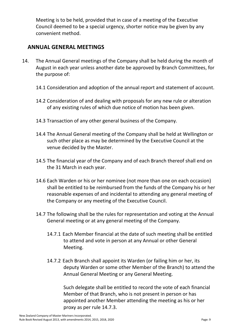Meeting is to be held, provided that in case of a meeting of the Executive Council deemed to be a special urgency, shorter notice may be given by any convenient method.

### **ANNUAL GENERAL MEETINGS**

- 14. The Annual General meetings of the Company shall be held during the month of August in each year unless another date be approved by Branch Committees, for the purpose of:
	- 14.1 Consideration and adoption of the annual report and statement of account.
	- 14.2 Consideration of and dealing with proposals for any new rule or alteration of any existing rules of which due notice of motion has been given.
	- 14.3 Transaction of any other general business of the Company.
	- 14.4 The Annual General meeting of the Company shall be held at Wellington or such other place as may be determined by the Executive Council at the venue decided by the Master.
	- 14.5 The financial year of the Company and of each Branch thereof shall end on the 31 March in each year.
	- 14.6 Each Warden or his or her nominee (not more than one on each occasion) shall be entitled to be reimbursed from the funds of the Company his or her reasonable expenses of and incidental to attending any general meeting of the Company or any meeting of the Executive Council.
	- 14.7 The following shall be the rules for representation and voting at the Annual General meeting or at any general meeting of the Company.
		- 14.7.1 Each Member financial at the date of such meeting shall be entitled to attend and vote in person at any Annual or other General Meeting.
		- 14.7.2 Each Branch shall appoint its Warden (or failing him or her, its deputy Warden or some other Member of the Branch) to attend the Annual General Meeting or any General Meeting.

Such delegate shall be entitled to record the vote of each financial Member of that Branch, who is not present in person or has appointed another Member attending the meeting as his or her proxy as per rule 14.7.3.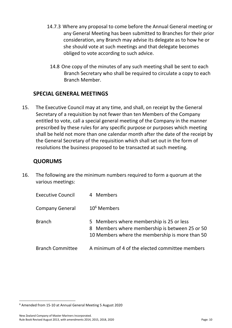- 14.7.3 Where any proposal to come before the Annual General meeting or any General Meeting has been submitted to Branches for their prior consideration, any Branch may advise its delegate as to how he or she should vote at such meetings and that delegate becomes obliged to vote according to such advice.
	- 14.8 One copy of the minutes of any such meeting shall be sent to each Branch Secretary who shall be required to circulate a copy to each Branch Member.

### **SPECIAL GENERAL MEETINGS**

15. The Executive Council may at any time, and shall, on receipt by the General Secretary of a requisition by not fewer than ten Members of the Company entitled to vote, call a special general meeting of the Company in the manner prescribed by these rules for any specific purpose or purposes which meeting shall be held not more than one calendar month after the date of the receipt by the General Secretary of the requisition which shall set out in the form of resolutions the business proposed to be transacted at such meeting.

#### **QUORUMS**

16. The following are the minimum numbers required to form a quorum at the various meetings:

| <b>Executive Council</b> | 4 Members                                                                                                                                     |
|--------------------------|-----------------------------------------------------------------------------------------------------------------------------------------------|
| <b>Company General</b>   | $10^6$ Members                                                                                                                                |
| <b>Branch</b>            | 5 Members where membership is 25 or less<br>8 Members where membership is between 25 or 50<br>10 Members where the membership is more than 50 |
| <b>Branch Committee</b>  | A minimum of 4 of the elected committee members                                                                                               |

<sup>6</sup> Amended from 15-10 at Annual General Meeting 5 August 2020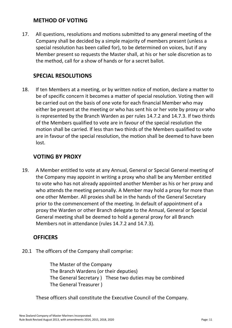#### **METHOD OF VOTING**

17. All questions, resolutions and motions submitted to any general meeting of the Company shall be decided by a simple majority of members present (unless a special resolution has been called for), to be determined on voices, but if any Member present so requests the Master shall, at his or her sole discretion as to the method, call for a show of hands or for a secret ballot.

### **SPECIAL RESOLUTIONS**

18. If ten Members at a meeting, or by written notice of motion, declare a matter to be of specific concern it becomes a matter of special resolution. Voting then will be carried out on the basis of one vote for each financial Member who may either be present at the meeting or who has sent his or her vote by proxy or who is represented by the Branch Warden as per rules 14.7.2 and 14.7.3. If two thirds of the Members qualified to vote are in favour of the special resolution the motion shall be carried. If less than two thirds of the Members qualified to vote are in favour of the special resolution, the motion shall be deemed to have been lost.

#### **VOTING BY PROXY**

19. A Member entitled to vote at any Annual, General or Special General meeting of the Company may appoint in writing a proxy who shall be any Member entitled to vote who has not already appointed another Member as his or her proxy and who attends the meeting personally. A Member may hold a proxy for more than one other Member. All proxies shall be in the hands of the General Secretary prior to the commencement of the meeting. In default of appointment of a proxy the Warden or other Branch delegate to the Annual, General or Special General meeting shall be deemed to hold a general proxy for all Branch Members not in attendance (rules 14.7.2 and 14.7.3).

#### **OFFICERS**

20.1 The officers of the Company shall comprise:

The Master of the Company The Branch Wardens (or their deputies) The General Secretary ) These two duties may be combined The General Treasurer )

These officers shall constitute the Executive Council of the Company.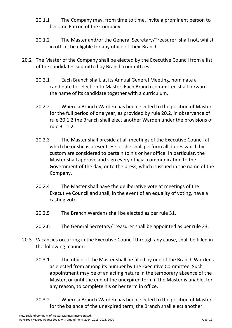- 20.1.1 The Company may, from time to time, invite a prominent person to become Patron of the Company.
- 20.1.2 The Master and/or the General Secretary/Treasurer, shall not, whilst in office, be eligible for any office of their Branch.
- 20.2 The Master of the Company shall be elected by the Executive Council from a list of the candidates submitted by Branch committees.
	- 20.2.1 Each Branch shall, at its Annual General Meeting, nominate a candidate for election to Master. Each Branch committee shall forward the name of its candidate together with a curriculum.
	- 20.2.2 Where a Branch Warden has been elected to the position of Master for the full period of one year, as provided by rule 20.2, in observance of rule 20.1.2 the Branch shall elect another Warden under the provisions of rule 31.1.2.
	- 20.2.3 The Master shall preside at all meetings of the Executive Council at which he or she is present. He or she shall perform all duties which by custom are considered to pertain to his or her office. In particular, the Master shall approve and sign every official communication to the Government of the day, or to the press, which is issued in the name of the Company.
	- 20.2.4 The Master shall have the deliberative vote at meetings of the Executive Council and shall, in the event of an equality of voting, have a casting vote.
	- 20.2.5 The Branch Wardens shall be elected as per rule 31.
	- 20.2.6 The General Secretary/Treasurer shall be appointed as per rule 23.
- 20.3 Vacancies occurring in the Executive Council through any cause, shall be filled in the following manner:
	- 20.3.1 The office of the Master shall be filled by one of the Branch Wardens as elected from among its number by the Executive Committee. Such appointment may be of an acting nature in the temporary absence of the Master, or until the end of the unexpired term if the Master is unable, for any reason, to complete his or her term in office.
	- 20.3.2 Where a Branch Warden has been elected to the position of Master for the balance of the unexpired term, the Branch shall elect another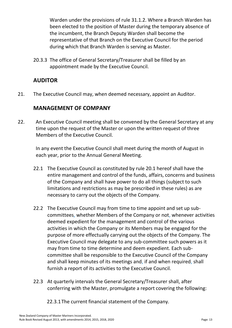Warden under the provisions of rule 31.1.2. Where a Branch Warden has been elected to the position of Master during the temporary absence of the incumbent, the Branch Deputy Warden shall become the representative of that Branch on the Executive Council for the period during which that Branch Warden is serving as Master.

20.3.3 The office of General Secretary/Treasurer shall be filled by an appointment made by the Executive Council.

## **AUDITOR**

21. The Executive Council may, when deemed necessary, appoint an Auditor.

## **MANAGEMENT OF COMPANY**

22. An Executive Council meeting shall be convened by the General Secretary at any time upon the request of the Master or upon the written request of three Members of the Executive Council.

 In any event the Executive Council shall meet during the month of August in each year, prior to the Annual General Meeting.

- 22.1 The Executive Council as constituted by rule 20.1 hereof shall have the entire management and control of the funds, affairs, concerns and business of the Company and shall have power to do all things (subject to such limitations and restrictions as may be prescribed in these rules) as are necessary to carry out the objects of the Company.
- 22.2 The Executive Council may from time to time appoint and set up subcommittees, whether Members of the Company or not, whenever activities deemed expedient for the management and control of the various activities in which the Company or its Members may be engaged for the purpose of more effectually carrying out the objects of the Company. The Executive Council may delegate to any sub-committee such powers as it may from time to time determine and deem expedient. Each subcommittee shall be responsible to the Executive Council of the Company and shall keep minutes of its meetings and, if and when required, shall furnish a report of its activities to the Executive Council.
- 22.3 At quarterly intervals the General Secretary/Treasurer shall, after conferring with the Master, promulgate a report covering the following:

22.3.1The current financial statement of the Company.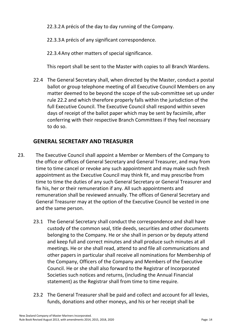22.3.2A précis of the day to day running of the Company.

22.3.3A précis of any significant correspondence.

22.3.4Any other matters of special significance.

This report shall be sent to the Master with copies to all Branch Wardens.

22.4 The General Secretary shall, when directed by the Master, conduct a postal ballot or group telephone meeting of all Executive Council Members on any matter deemed to be beyond the scope of the sub-committee set up under rule 22.2 and which therefore properly falls within the jurisdiction of the full Executive Council. The Executive Council shall respond within seven days of receipt of the ballot paper which may be sent by facsimile, after conferring with their respective Branch Committees if they feel necessary to do so.

# **GENERAL SECRETARY AND TREASURER**

- 23. The Executive Council shall appoint a Member or Members of the Company to the office or offices of General Secretary and General Treasurer, and may from time to time cancel or revoke any such appointment and may make such fresh appointment as the Executive Council may think fit, and may prescribe from time to time the duties of any such General Secretary or General Treasurer and fix his, her or their remuneration if any. All such appointments and remuneration shall be reviewed annually. The offices of General Secretary and General Treasurer may at the option of the Executive Council be vested in one and the same person.
	- 23.1 The General Secretary shall conduct the correspondence and shall have custody of the common seal, title deeds, securities and other documents belonging to the Company. He or she shall in person or by deputy attend and keep full and correct minutes and shall produce such minutes at all meetings. He or she shall read, attend to and file all communications and other papers in particular shall receive all nominations for Membership of the Company, Officers of the Company and Members of the Executive Council. He or she shall also forward to the Registrar of Incorporated Societies such notices and returns, (including the Annual Financial statement) as the Registrar shall from time to time require.
	- 23.2 The General Treasurer shall be paid and collect and account for all levies, funds, donations and other moneys, and his or her receipt shall be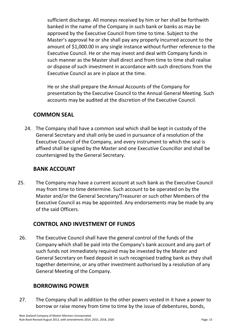sufficient discharge. All moneys received by him or her shall be forthwith banked in the name of the Company in such bank or banks as may be approved by the Executive Council from time to time. Subject to the Master's approval he or she shall pay any properly incurred account to the amount of \$1,000.00 in any single instance without further reference to the Executive Council. He or she may invest and deal with Company funds in such manner as the Master shall direct and from time to time shall realise or dispose of such investment in accordance with such directions from the Executive Council as are in place at the time.

He or she shall prepare the Annual Accounts of the Company for presentation by the Executive Council to the Annual General Meeting. Such accounts may be audited at the discretion of the Executive Council.

#### **COMMON SEAL**

24. The Company shall have a common seal which shall be kept in custody of the General Secretary and shall only be used in pursuance of a resolution of the Executive Council of the Company, and every instrument to which the seal is affixed shall be signed by the Master and one Executive Councillor and shall be countersigned by the General Secretary.

#### **BANK ACCOUNT**

25. The Company may have a current account at such bank as the Executive Council may from time to time determine. Such account to be operated on by the Master and/or the General Secretary/Treasurer or such other Members of the Executive Council as may be appointed. Any endorsements may be made by any of the said Officers.

#### **CONTROL AND INVESTMENT OF FUNDS**

26. The Executive Council shall have the general control of the funds of the Company which shall be paid into the Company's bank account and any part of such funds not immediately required may be invested by the Master and General Secretary on fixed deposit in such recognised trading bank as they shall together determine, or any other investment authorised by a resolution of any General Meeting of the Company.

#### **BORROWING POWER**

27. The Company shall in addition to the other powers vested in it have a power to borrow or raise money from time to time by the issue of debentures, bonds,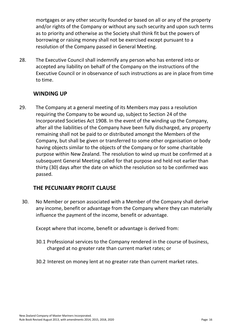mortgages or any other security founded or based on all or any of the property and/or rights of the Company or without any such security and upon such terms as to priority and otherwise as the Society shall think fit but the powers of borrowing or raising money shall not be exercised except pursuant to a resolution of the Company passed in General Meeting.

28. The Executive Council shall indemnify any person who has entered into or accepted any liability on behalf of the Company on the instructions of the Executive Council or in observance of such instructions as are in place from time to time.

### **WINDING UP**

29. The Company at a general meeting of its Members may pass a resolution requiring the Company to be wound up, subject to Section 24 of the Incorporated Societies Act 1908. In the event of the winding up the Company, after all the liabilities of the Company have been fully discharged, any property remaining shall not be paid to or distributed amongst the Members of the Company, but shall be given or transferred to some other organisation or body having objects similar to the objects of the Company or for some charitable purpose within New Zealand. The resolution to wind up must be confirmed at a subsequent General Meeting called for that purpose and held not earlier than thirty (30) days after the date on which the resolution so to be confirmed was passed.

## **THE PECUNIARY PROFIT CLAUSE**

30. No Member or person associated with a Member of the Company shall derive any income, benefit or advantage from the Company where they can materially influence the payment of the income, benefit or advantage.

Except where that income, benefit or advantage is derived from:

- 30.1 Professional services to the Company rendered in the course of business, charged at no greater rate than current market rates; or
- 30.2 Interest on money lent at no greater rate than current market rates.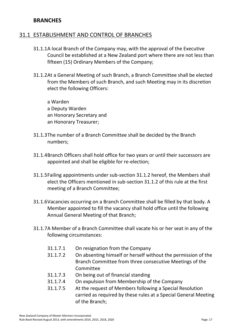#### **BRANCHES**

#### 31.1 ESTABLISHMENT AND CONTROL OF BRANCHES

- 31.1.1A local Branch of the Company may, with the approval of the Executive Council be established at a New Zealand port where there are not less than fifteen (15) Ordinary Members of the Company;
- 31.1.2At a General Meeting of such Branch, a Branch Committee shall be elected from the Members of such Branch, and such Meeting may in its discretion elect the following Officers:

a Warden a Deputy Warden an Honorary Secretary and an Honorary Treasurer;

- 31.1.3The number of a Branch Committee shall be decided by the Branch numbers;
- 31.1.4Branch Officers shall hold office for two years or until their successors are appointed and shall be eligible for re-election;
- 31.1.5Failing appointments under sub-section 31.1.2 hereof, the Members shall elect the Officers mentioned in sub-section 31.1.2 of this rule at the first meeting of a Branch Committee;
- 31.1.6Vacancies occurring on a Branch Committee shall be filled by that body. A Member appointed to fill the vacancy shall hold office until the following Annual General Meeting of that Branch;
- 31.1.7A Member of a Branch Committee shall vacate his or her seat in any of the following circumstances:
	- 31.1.7.1 On resignation from the Company
	- 31.1.7.2 On absenting himself or herself without the permission of the Branch Committee from three consecutive Meetings of the Committee
	- 31.1.7.3 On being out of financial standing
	- 31.1.7.4 On expulsion from Membership of the Company
	- 31.1.7.5 At the request of Members following a Special Resolution carried as required by these rules at a Special General Meeting of the Branch;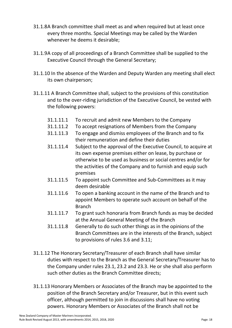- 31.1.8A Branch committee shall meet as and when required but at least once every three months. Special Meetings may be called by the Warden whenever he deems it desirable;
- 31.1.9A copy of all proceedings of a Branch Committee shall be supplied to the Executive Council through the General Secretary;
- 31.1.10 In the absence of the Warden and Deputy Warden any meeting shall elect its own chairperson;
- 31.1.11 A Branch Committee shall, subject to the provisions of this constitution and to the over-riding jurisdiction of the Executive Council, be vested with the following powers:
	- 31.1.11.1 To recruit and admit new Members to the Company
	- 31.1.11.2 To accept resignations of Members from the Company
	- 31.1.11.3 To engage and dismiss employees of the Branch and to fix their remuneration and define their duties
	- 31.1.11.4 Subject to the approval of the Executive Council, to acquire at its own expense premises either on lease, by purchase or otherwise to be used as business or social centres and/or for the activities of the Company and to furnish and equip such premises
	- 31.1.11.5 To appoint such Committee and Sub-Committees as it may deem desirable
	- 31.1.11.6 To open a banking account in the name of the Branch and to appoint Members to operate such account on behalf of the Branch
	- 31.1.11.7 To grant such honoraria from Branch funds as may be decided at the Annual General Meeting of the Branch
	- 31.1.11.8 Generally to do such other things as in the opinions of the Branch Committees are in the interests of the Branch, subject to provisions of rules 3.6 and 3.11;
- 31.1.12 The Honorary Secretary/Treasurer of each Branch shall have similar duties with respect to the Branch as the General Secretary/Treasurer has to the Company under rules 23.1, 23.2 and 23.3. He or she shall also perform such other duties as the Branch Committee directs;
- 31.1.13 Honorary Members or Associates of the Branch may be appointed to the position of the Branch Secretary and/or Treasurer, but in this event such officer, although permitted to join in discussions shall have no voting powers. Honorary Members or Associates of the Branch shall not be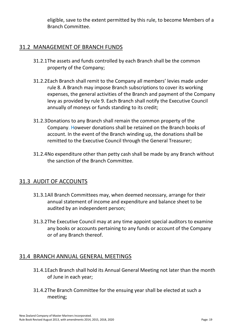eligible, save to the extent permitted by this rule, to become Members of a Branch Committee.

#### 31.2 MANAGEMENT OF BRANCH FUNDS

- 31.2.1The assets and funds controlled by each Branch shall be the common property of the Company;
- 31.2.2Each Branch shall remit to the Company all members' levies made under rule 8. A Branch may impose Branch subscriptions to cover its working expenses, the general activities of the Branch and payment of the Company levy as provided by rule 9. Each Branch shall notify the Executive Council annually of moneys or funds standing to its credit;
- 31.2.3Donations to any Branch shall remain the common property of the Company. However donations shall be retained on the Branch books of account. In the event of the Branch winding up, the donations shall be remitted to the Executive Council through the General Treasurer;
- 31.2.4No expenditure other than petty cash shall be made by any Branch without the sanction of the Branch Committee.

#### 31.3 AUDIT OF ACCOUNTS

- 31.3.1All Branch Committees may, when deemed necessary, arrange for their annual statement of income and expenditure and balance sheet to be audited by an independent person;
- 31.3.2The Executive Council may at any time appoint special auditors to examine any books or accounts pertaining to any funds or account of the Company or of any Branch thereof.

#### 31.4 BRANCH ANNUAL GENERAL MEETINGS

- 31.4.1Each Branch shall hold its Annual General Meeting not later than the month of June in each year;
- 31.4.2The Branch Committee for the ensuing year shall be elected at such a meeting;